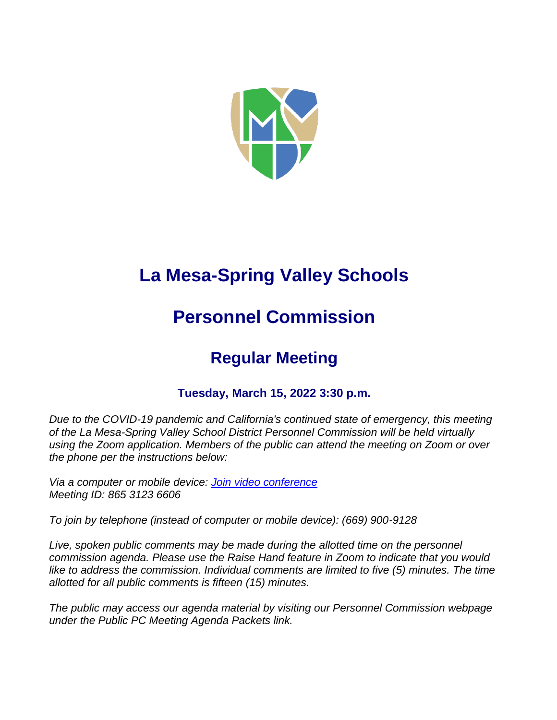

# **La Mesa-Spring Valley Schools**

## **Personnel Commission**

## **Regular Meeting**

## **Tuesday, March 15, 2022 3:30 p.m.**

*Due to the COVID-19 pandemic and California's continued state of emergency, this meeting of the La Mesa-Spring Valley School District Personnel Commission will be held virtually using the Zoom application. Members of the public can attend the meeting on Zoom or over the phone per the instructions below:*

*Via a computer or mobile device: [Join video conference](https://lmsvsd-net.zoom.us/j/86531236606) Meeting ID: 865 3123 6606*

*To join by telephone (instead of computer or mobile device): (669) 900-9128*

Live, spoken public comments may be made during the allotted time on the personnel *commission agenda. Please use the Raise Hand feature in Zoom to indicate that you would like to address the commission. Individual comments are limited to five (5) minutes. The time allotted for all public comments is fifteen (15) minutes.*

*The public may access our agenda material by visiting our Personnel Commission webpage under the Public PC Meeting Agenda Packets link.*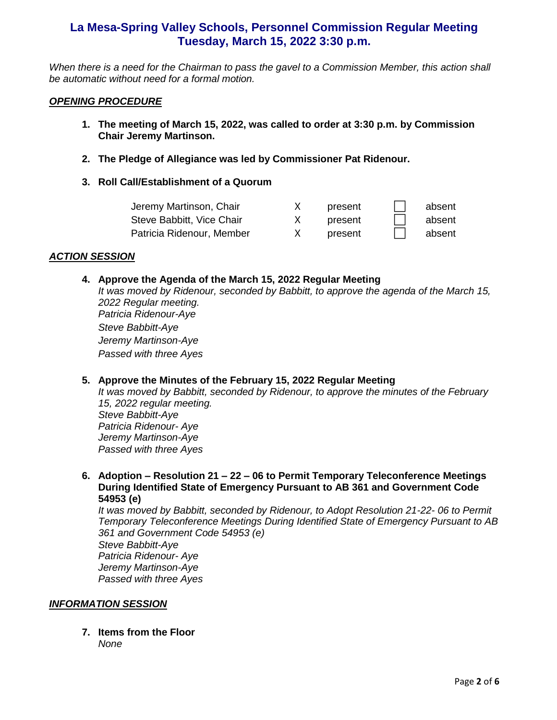*When there is a need for the Chairman to pass the gavel to a Commission Member, this action shall be automatic without need for a formal motion.*

#### *OPENING PROCEDURE*

- **1. The meeting of March 15, 2022, was called to order at 3:30 p.m. by Commission Chair Jeremy Martinson.**
- **2. The Pledge of Allegiance was led by Commissioner Pat Ridenour.**
- **3. Roll Call/Establishment of a Quorum**

| Jeremy Martinson, Chair   | present | absent |
|---------------------------|---------|--------|
| Steve Babbitt, Vice Chair | present | absent |
| Patricia Ridenour, Member | present | absent |

#### *ACTION SESSION*

#### **4. Approve the Agenda of the March 15, 2022 Regular Meeting**

*It was moved by Ridenour, seconded by Babbitt, to approve the agenda of the March 15, 2022 Regular meeting. Patricia Ridenour-Aye Steve Babbitt-Aye Jeremy Martinson-Aye Passed with three Ayes*

## **5. Approve the Minutes of the February 15, 2022 Regular Meeting**

*It was moved by Babbitt, seconded by Ridenour, to approve the minutes of the February 15, 2022 regular meeting. Steve Babbitt-Aye Patricia Ridenour- Aye Jeremy Martinson-Aye Passed with three Ayes*

**6. Adoption – Resolution 21 – 22 – 06 to Permit Temporary Teleconference Meetings During Identified State of Emergency Pursuant to AB 361 and Government Code 54953 (e)**

*It was moved by Babbitt, seconded by Ridenour, to Adopt Resolution 21-22- 06 to Permit Temporary Teleconference Meetings During Identified State of Emergency Pursuant to AB 361 and Government Code 54953 (e) Steve Babbitt-Aye*

*Patricia Ridenour- Aye Jeremy Martinson-Aye Passed with three Ayes*

## *INFORMATION SESSION*

**7. Items from the Floor**  *None*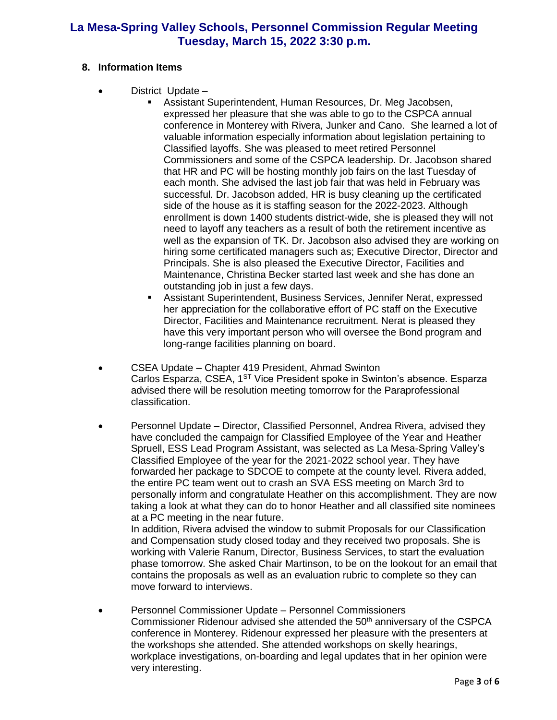## **8. Information Items**

- District Update
	- Assistant Superintendent, Human Resources, Dr. Meg Jacobsen, expressed her pleasure that she was able to go to the CSPCA annual conference in Monterey with Rivera, Junker and Cano. She learned a lot of valuable information especially information about legislation pertaining to Classified layoffs. She was pleased to meet retired Personnel Commissioners and some of the CSPCA leadership. Dr. Jacobson shared that HR and PC will be hosting monthly job fairs on the last Tuesday of each month. She advised the last job fair that was held in February was successful. Dr. Jacobson added, HR is busy cleaning up the certificated side of the house as it is staffing season for the 2022-2023. Although enrollment is down 1400 students district-wide, she is pleased they will not need to layoff any teachers as a result of both the retirement incentive as well as the expansion of TK. Dr. Jacobson also advised they are working on hiring some certificated managers such as; Executive Director, Director and Principals. She is also pleased the Executive Director, Facilities and Maintenance, Christina Becker started last week and she has done an outstanding job in just a few days.
	- Assistant Superintendent, Business Services, Jennifer Nerat, expressed her appreciation for the collaborative effort of PC staff on the Executive Director, Facilities and Maintenance recruitment. Nerat is pleased they have this very important person who will oversee the Bond program and long-range facilities planning on board.
- CSEA Update Chapter 419 President, Ahmad Swinton Carlos Esparza, CSEA, 1<sup>ST</sup> Vice President spoke in Swinton's absence. Esparza advised there will be resolution meeting tomorrow for the Paraprofessional classification.
- Personnel Update Director, Classified Personnel, Andrea Rivera, advised they have concluded the campaign for Classified Employee of the Year and Heather Spruell, ESS Lead Program Assistant, was selected as La Mesa-Spring Valley's Classified Employee of the year for the 2021-2022 school year. They have forwarded her package to SDCOE to compete at the county level. Rivera added, the entire PC team went out to crash an SVA ESS meeting on March 3rd to personally inform and congratulate Heather on this accomplishment. They are now taking a look at what they can do to honor Heather and all classified site nominees at a PC meeting in the near future.

In addition, Rivera advised the window to submit Proposals for our Classification and Compensation study closed today and they received two proposals. She is working with Valerie Ranum, Director, Business Services, to start the evaluation phase tomorrow. She asked Chair Martinson, to be on the lookout for an email that contains the proposals as well as an evaluation rubric to complete so they can move forward to interviews.

• Personnel Commissioner Update – Personnel Commissioners Commissioner Ridenour advised she attended the 50<sup>th</sup> anniversary of the CSPCA conference in Monterey. Ridenour expressed her pleasure with the presenters at the workshops she attended. She attended workshops on skelly hearings, workplace investigations, on-boarding and legal updates that in her opinion were very interesting.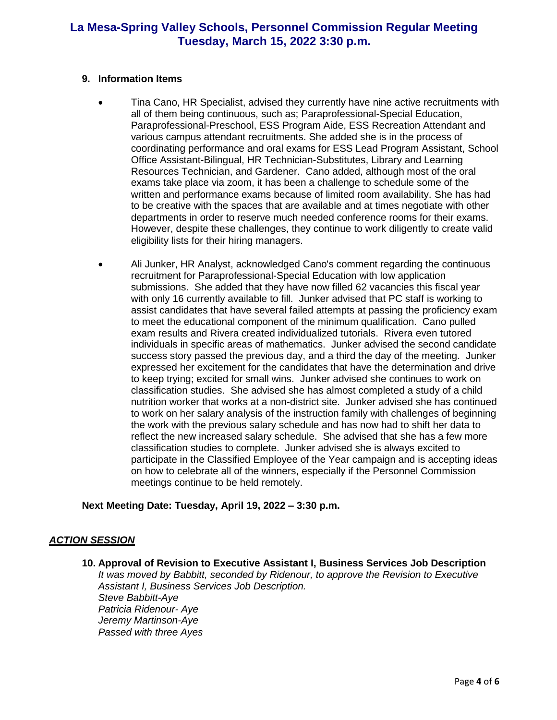#### **9. Information Items**

- Tina Cano, HR Specialist, advised they currently have nine active recruitments with all of them being continuous, such as; Paraprofessional-Special Education, Paraprofessional-Preschool, ESS Program Aide, ESS Recreation Attendant and various campus attendant recruitments. She added she is in the process of coordinating performance and oral exams for ESS Lead Program Assistant, School Office Assistant-Bilingual, HR Technician-Substitutes, Library and Learning Resources Technician, and Gardener. Cano added, although most of the oral exams take place via zoom, it has been a challenge to schedule some of the written and performance exams because of limited room availability. She has had to be creative with the spaces that are available and at times negotiate with other departments in order to reserve much needed conference rooms for their exams. However, despite these challenges, they continue to work diligently to create valid eligibility lists for their hiring managers.
- Ali Junker, HR Analyst, acknowledged Cano's comment regarding the continuous recruitment for Paraprofessional-Special Education with low application submissions. She added that they have now filled 62 vacancies this fiscal year with only 16 currently available to fill. Junker advised that PC staff is working to assist candidates that have several failed attempts at passing the proficiency exam to meet the educational component of the minimum qualification. Cano pulled exam results and Rivera created individualized tutorials. Rivera even tutored individuals in specific areas of mathematics. Junker advised the second candidate success story passed the previous day, and a third the day of the meeting. Junker expressed her excitement for the candidates that have the determination and drive to keep trying; excited for small wins. Junker advised she continues to work on classification studies. She advised she has almost completed a study of a child nutrition worker that works at a non-district site. Junker advised she has continued to work on her salary analysis of the instruction family with challenges of beginning the work with the previous salary schedule and has now had to shift her data to reflect the new increased salary schedule. She advised that she has a few more classification studies to complete. Junker advised she is always excited to participate in the Classified Employee of the Year campaign and is accepting ideas on how to celebrate all of the winners, especially if the Personnel Commission meetings continue to be held remotely.

## **Next Meeting Date: Tuesday, April 19, 2022 – 3:30 p.m.**

## *ACTION SESSION*

**10. Approval of Revision to Executive Assistant I, Business Services Job Description** *It was moved by Babbitt, seconded by Ridenour, to approve the Revision to Executive Assistant I, Business Services Job Description. Steve Babbitt-Aye Patricia Ridenour- Aye Jeremy Martinson-Aye Passed with three Ayes*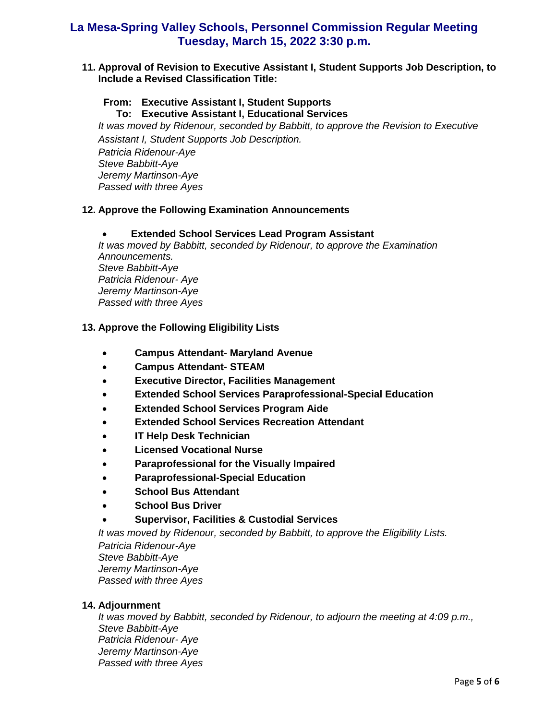**11. Approval of Revision to Executive Assistant I, Student Supports Job Description, to Include a Revised Classification Title:** 

#### **From: Executive Assistant I, Student Supports To: Executive Assistant I, Educational Services**

*It was moved by Ridenour, seconded by Babbitt, to approve the Revision to Executive Assistant I, Student Supports Job Description.*

*Patricia Ridenour-Aye Steve Babbitt-Aye Jeremy Martinson-Aye Passed with three Ayes*

## **12. Approve the Following Examination Announcements**

## **Extended School Services Lead Program Assistant**

*It was moved by Babbitt, seconded by Ridenour, to approve the Examination Announcements. Steve Babbitt-Aye Patricia Ridenour- Aye Jeremy Martinson-Aye Passed with three Ayes*

## **13. Approve the Following Eligibility Lists**

- **Campus Attendant- Maryland Avenue**
- **Campus Attendant- STEAM**
- **Executive Director, Facilities Management**
- **Extended School Services Paraprofessional-Special Education**
- **Extended School Services Program Aide**
- **Extended School Services Recreation Attendant**
- **IT Help Desk Technician**
- **Licensed Vocational Nurse**
- **Paraprofessional for the Visually Impaired**
- **Paraprofessional-Special Education**
- **School Bus Attendant**
- **School Bus Driver**
- **Supervisor, Facilities & Custodial Services**

*It was moved by Ridenour, seconded by Babbitt, to approve the Eligibility Lists.*

*Patricia Ridenour-Aye Steve Babbitt-Aye Jeremy Martinson-Aye Passed with three Ayes*

## **14. Adjournment**

*It was moved by Babbitt, seconded by Ridenour, to adjourn the meeting at 4:09 p.m., Steve Babbitt-Aye Patricia Ridenour- Aye Jeremy Martinson-Aye Passed with three Ayes*